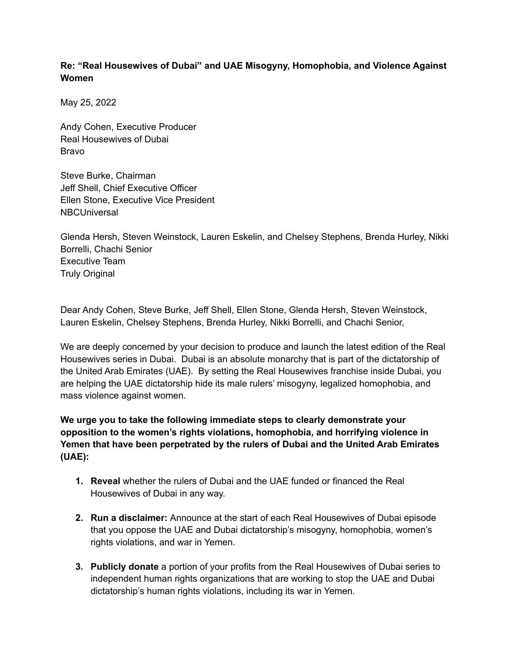# **Re: "Real Housewives of Dubai" and UAE Misogyny, Homophobia, and Violence Against Women**

May 25, 2022

Andy Cohen, Executive Producer Real Housewives of Dubai Bravo

Steve Burke, Chairman Jeff Shell, Chief Executive Officer Ellen Stone, Executive Vice President **NBCUniversal** 

Glenda Hersh, Steven Weinstock, Lauren Eskelin, and Chelsey Stephens, Brenda Hurley, Nikki Borrelli, Chachi Senior Executive Team Truly Original

Dear Andy Cohen, Steve Burke, Jeff Shell, Ellen Stone, Glenda Hersh, Steven Weinstock, Lauren Eskelin, Chelsey Stephens, Brenda Hurley, Nikki Borrelli, and Chachi Senior,

We are deeply concerned by your decision to produce and launch the latest edition of the Real Housewives series in Dubai. Dubai is an absolute monarchy that is part of the dictatorship of the United Arab Emirates (UAE). By setting the Real Housewives franchise inside Dubai, you are helping the UAE dictatorship hide its male rulers' misogyny, legalized homophobia, and mass violence against women.

**We urge you to take the following immediate steps to clearly demonstrate your opposition to the women's rights violations, homophobia, and horrifying violence in Yemen that have been perpetrated by the rulers of Dubai and the United Arab Emirates (UAE):**

- **1. Reveal** whether the rulers of Dubai and the UAE funded or financed the Real Housewives of Dubai in any way.
- **2. Run a disclaimer:** Announce at the start of each Real Housewives of Dubai episode that you oppose the UAE and Dubai dictatorship's misogyny, homophobia, women's rights violations, and war in Yemen.
- **3. Publicly donate** a portion of your profits from the Real Housewives of Dubai series to independent human rights organizations that are working to stop the UAE and Dubai dictatorship's human rights violations, including its war in Yemen.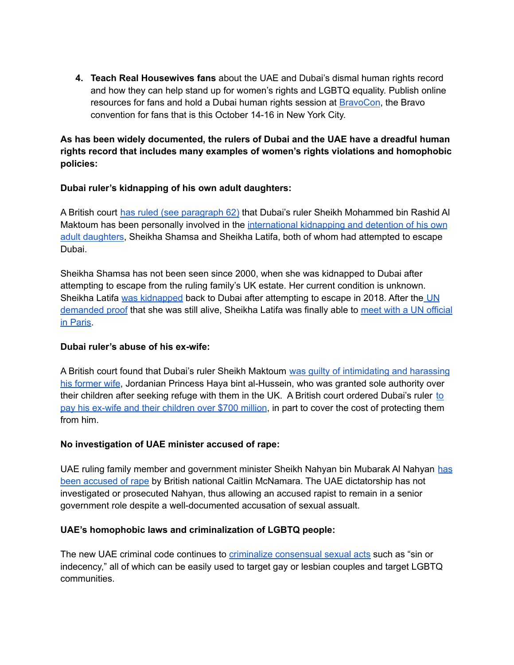**4. Teach Real Housewives fans** about the UAE and Dubai's dismal human rights record and how they can help stand up for women's rights and LGBTQ equality. Publish online resources for fans and hold a Dubai human rights session at [BravoCon](https://bravocon2022.com), the Bravo convention for fans that is this October 14-16 in New York City.

**As has been widely documented, the rulers of Dubai and the UAE have a dreadful human rights record that includes many examples of women's rights violations and homophobic policies:**

## **Dubai ruler's kidnapping of his own adult daughters:**

A British court has ruled (see [paragraph](https://www.judiciary.uk/wp-content/uploads/2021/10/vii-Hacking-fact-Finding-judgment-5.5.2021.pdf) 62) that Dubai's ruler Sheikh Mohammed bin Rashid Al Maktoum has been personally involved in the [international](https://www.hrw.org/news/2020/03/06/uae-free-dubai-rulers-captive-daughters) kidnapping and detention of his own adult [daughters,](https://www.hrw.org/news/2020/03/06/uae-free-dubai-rulers-captive-daughters) Sheikha Shamsa and Sheikha Latifa, both of whom had attempted to escape Dubai.

Sheikha Shamsa has not been seen since 2000, when she was kidnapped to Dubai after attempting to escape from the ruling family's UK estate. Her current condition is unknown. Sheikha Latifa was [kidnapped](https://www.bbc.com/news/av/world-middle-east-56089974) back to Dubai after attempting to escape in 2018. After the [UN](https://www.bbc.com/news/world-middle-east-56820707) [demanded](https://www.bbc.com/news/world-middle-east-56820707) proof that she was still alive, Sheikha Latifa was finally able to meet with a UN [official](https://www.middleeasteye.net/news/uae-princess-latifa-dubai-in-paris-with-un-official) in [Paris.](https://www.middleeasteye.net/news/uae-princess-latifa-dubai-in-paris-with-un-official)

#### **Dubai ruler's abuse of his ex-wife:**

A British court found that Dubai's ruler Sheikh Maktoum was guilty of [intimidating](https://www.cnn.com/2020/03/05/uk/court-dubai-ruler-sheikh-mohammed-princess-haya-gbr-intl/index.html) and harassing his [former](https://www.cnn.com/2020/03/05/uk/court-dubai-ruler-sheikh-mohammed-princess-haya-gbr-intl/index.html) wife, Jordanian Princess Haya bint al-Hussein, who was granted sole authority over their children after seeking refuge with them in the UK. A British court ordered Dubai's ruler [to](https://apnews.com/article/business-europe-middle-east-dubai-mohammed-bin-rashid-al-maktoum-300068f49d3a89ed2caa3fe646b8881a) pay his ex-wife and their [children](https://apnews.com/article/business-europe-middle-east-dubai-mohammed-bin-rashid-al-maktoum-300068f49d3a89ed2caa3fe646b8881a) over \$700 million, in part to cover the cost of protecting them from him.

#### **No investigation of UAE minister accused of rape:**

UAE ruling family member and government minister Sheikh Nahyan bin Mubarak Al Nahyan [has](https://www.theguardian.com/society/2021/mar/20/until-the-law-catches-up-all-we-have-is-our-stories-my-year-long-fight-to-hold-my-attacker-to-account) been [accused](https://www.theguardian.com/society/2021/mar/20/until-the-law-catches-up-all-we-have-is-our-stories-my-year-long-fight-to-hold-my-attacker-to-account) of rape by British national Caitlin McNamara. The UAE dictatorship has not investigated or prosecuted Nahyan, thus allowing an accused rapist to remain in a senior government role despite a well-documented accusation of sexual assualt.

#### **UAE's homophobic laws and criminalization of LGBTQ people:**

The new UAE criminal code continues to criminalize [consensual](https://freedomforward.org/2022/05/23/uaelaws01/) sexual acts such as "sin or indecency," all of which can be easily used to target gay or lesbian couples and target LGBTQ communities.